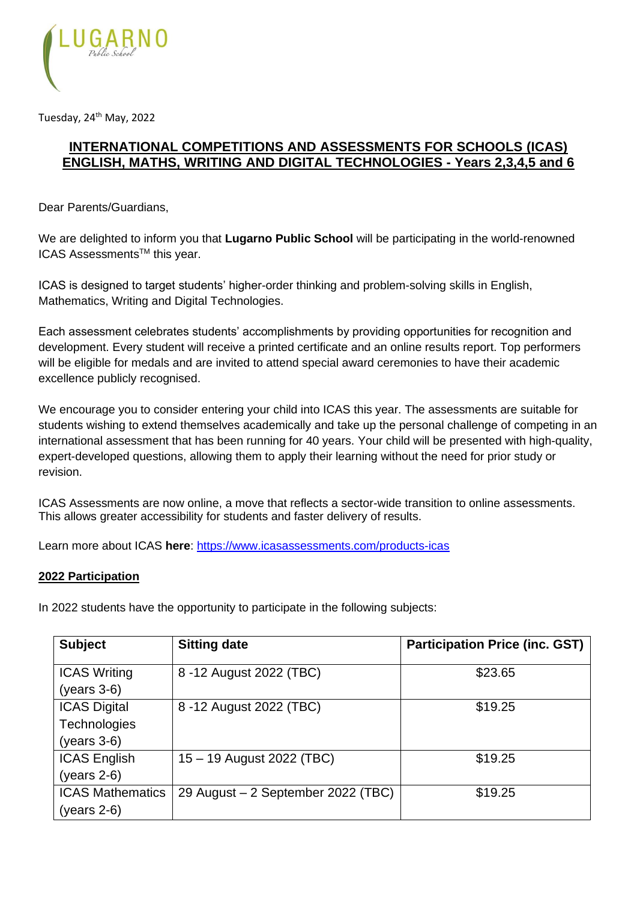

Tuesday, 24<sup>th</sup> May, 2022

## **INTERNATIONAL COMPETITIONS AND ASSESSMENTS FOR SCHOOLS (ICAS) ENGLISH, MATHS, WRITING AND DIGITAL TECHNOLOGIES - Years 2,3,4,5 and 6**

Dear Parents/Guardians,

We are delighted to inform you that **Lugarno Public School** will be participating in the world-renowned ICAS Assessments<sup>™</sup> this year.

ICAS is designed to target students' higher-order thinking and problem-solving skills in English, Mathematics, Writing and Digital Technologies.

Each assessment celebrates students' accomplishments by providing opportunities for recognition and development. Every student will receive a printed certificate and an online results report. Top performers will be eligible for medals and are invited to attend special award ceremonies to have their academic excellence publicly recognised.

We encourage you to consider entering your child into ICAS this year. The assessments are suitable for students wishing to extend themselves academically and take up the personal challenge of competing in an international assessment that has been running for 40 years. Your child will be presented with high-quality, expert-developed questions, allowing them to apply their learning without the need for prior study or revision.

ICAS Assessments are now online, a move that reflects a sector-wide transition to online assessments. This allows greater accessibility for students and faster delivery of results.

Learn more about ICAS **here**:<https://www.icasassessments.com/products-icas>

#### **2022 Participation**

In 2022 students have the opportunity to participate in the following subjects:

| <b>Subject</b>                           | <b>Sitting date</b>                | <b>Participation Price (inc. GST)</b> |
|------------------------------------------|------------------------------------|---------------------------------------|
| <b>ICAS Writing</b><br>$(years 3-6)$     | 8 -12 August 2022 (TBC)            | \$23.65                               |
| <b>ICAS Digital</b><br>Technologies      | 8 -12 August 2022 (TBC)            | \$19.25                               |
| $(years 3-6)$                            |                                    |                                       |
| <b>ICAS English</b>                      | 15 - 19 August 2022 (TBC)          | \$19.25                               |
| $(years 2-6)$                            |                                    |                                       |
| <b>ICAS Mathematics</b><br>$(years 2-6)$ | 29 August - 2 September 2022 (TBC) | \$19.25                               |